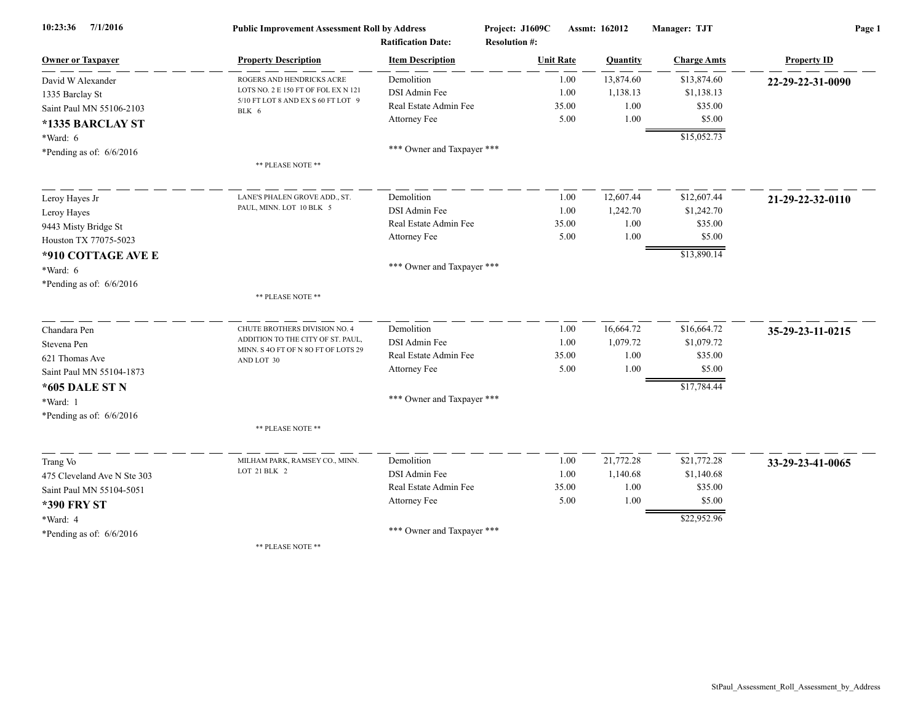| 7/1/2016<br>10:23:36        | <b>Public Improvement Assessment Roll by Address</b>                                                            |                            | Project: J1609C<br>Assmt: 162012 |       | Manager: TJT | Page 1             |                    |  |
|-----------------------------|-----------------------------------------------------------------------------------------------------------------|----------------------------|----------------------------------|-------|--------------|--------------------|--------------------|--|
|                             |                                                                                                                 | <b>Ratification Date:</b>  | <b>Resolution #:</b>             |       |              |                    |                    |  |
| <b>Owner or Taxpayer</b>    | <b>Property Description</b>                                                                                     | <b>Item Description</b>    | <b>Unit Rate</b>                 |       | Quantity     | <b>Charge Amts</b> | <b>Property ID</b> |  |
| David W Alexander           | ROGERS AND HENDRICKS ACRE<br>LOTS NO. 2 E 150 FT OF FOL EX N 121<br>5/10 FT LOT 8 AND EX S 60 FT LOT 9<br>BLK 6 | Demolition                 |                                  | 1.00  | 13,874.60    | \$13,874.60        | 22-29-22-31-0090   |  |
| 1335 Barclay St             |                                                                                                                 | DSI Admin Fee              |                                  | 1.00  | 1,138.13     | \$1,138.13         |                    |  |
| Saint Paul MN 55106-2103    |                                                                                                                 | Real Estate Admin Fee      |                                  | 35.00 | 1.00         | \$35.00            |                    |  |
| *1335 BARCLAY ST            |                                                                                                                 | Attorney Fee               |                                  | 5.00  | 1.00         | \$5.00             |                    |  |
| *Ward: 6                    |                                                                                                                 |                            |                                  |       |              | \$15,052.73        |                    |  |
| *Pending as of: 6/6/2016    |                                                                                                                 | *** Owner and Taxpayer *** |                                  |       |              |                    |                    |  |
|                             | ** PLEASE NOTE **                                                                                               |                            |                                  |       |              |                    |                    |  |
| Leroy Hayes Jr              | LANE'S PHALEN GROVE ADD., ST.                                                                                   | Demolition                 |                                  | 1.00  | 12,607.44    | \$12,607.44        | 21-29-22-32-0110   |  |
| Leroy Hayes                 | PAUL, MINN. LOT 10 BLK 5                                                                                        | DSI Admin Fee              |                                  | 1.00  | 1,242.70     | \$1,242.70         |                    |  |
| 9443 Misty Bridge St        |                                                                                                                 | Real Estate Admin Fee      |                                  | 35.00 | 1.00         | \$35.00            |                    |  |
| Houston TX 77075-5023       |                                                                                                                 | Attorney Fee               |                                  | 5.00  | 1.00         | \$5.00             |                    |  |
| *910 COTTAGE AVE E          |                                                                                                                 |                            |                                  |       |              | \$13,890.14        |                    |  |
| *Ward: 6                    |                                                                                                                 | *** Owner and Taxpayer *** |                                  |       |              |                    |                    |  |
| *Pending as of: 6/6/2016    |                                                                                                                 |                            |                                  |       |              |                    |                    |  |
|                             | ** PLEASE NOTE **                                                                                               |                            |                                  |       |              |                    |                    |  |
| Chandara Pen                | CHUTE BROTHERS DIVISION NO. 4                                                                                   | Demolition                 |                                  | 1.00  | 16,664.72    | \$16,664.72        | 35-29-23-11-0215   |  |
| Stevena Pen                 | ADDITION TO THE CITY OF ST. PAUL,                                                                               | DSI Admin Fee              |                                  | 1.00  | 1,079.72     | \$1,079.72         |                    |  |
| 621 Thomas Ave              | MINN. S 4O FT OF N 8O FT OF LOTS 29<br>AND LOT 30                                                               | Real Estate Admin Fee      |                                  | 35.00 | 1.00         | \$35.00            |                    |  |
| Saint Paul MN 55104-1873    |                                                                                                                 | Attorney Fee               |                                  | 5.00  | 1.00         | \$5.00             |                    |  |
| *605 DALE ST N              |                                                                                                                 |                            |                                  |       |              | \$17,784.44        |                    |  |
| *Ward: 1                    |                                                                                                                 | *** Owner and Taxpayer *** |                                  |       |              |                    |                    |  |
| *Pending as of: $6/6/2016$  |                                                                                                                 |                            |                                  |       |              |                    |                    |  |
|                             | ** PLEASE NOTE **                                                                                               |                            |                                  |       |              |                    |                    |  |
| Trang Vo                    | MILHAM PARK, RAMSEY CO., MINN.                                                                                  | Demolition                 |                                  | 1.00  | 21,772.28    | \$21,772.28        | 33-29-23-41-0065   |  |
| 475 Cleveland Ave N Ste 303 | LOT 21 BLK 2                                                                                                    | DSI Admin Fee              |                                  | 1.00  | 1,140.68     | \$1,140.68         |                    |  |
| Saint Paul MN 55104-5051    |                                                                                                                 | Real Estate Admin Fee      |                                  | 35.00 | 1.00         | \$35.00            |                    |  |
| <b>*390 FRY ST</b>          |                                                                                                                 | Attorney Fee               |                                  | 5.00  | 1.00         | \$5.00             |                    |  |
| *Ward: 4                    |                                                                                                                 |                            |                                  |       |              | \$22,952.96        |                    |  |
| *Pending as of: $6/6/2016$  |                                                                                                                 | *** Owner and Taxpayer *** |                                  |       |              |                    |                    |  |
|                             | ** PLEASE NOTE **                                                                                               |                            |                                  |       |              |                    |                    |  |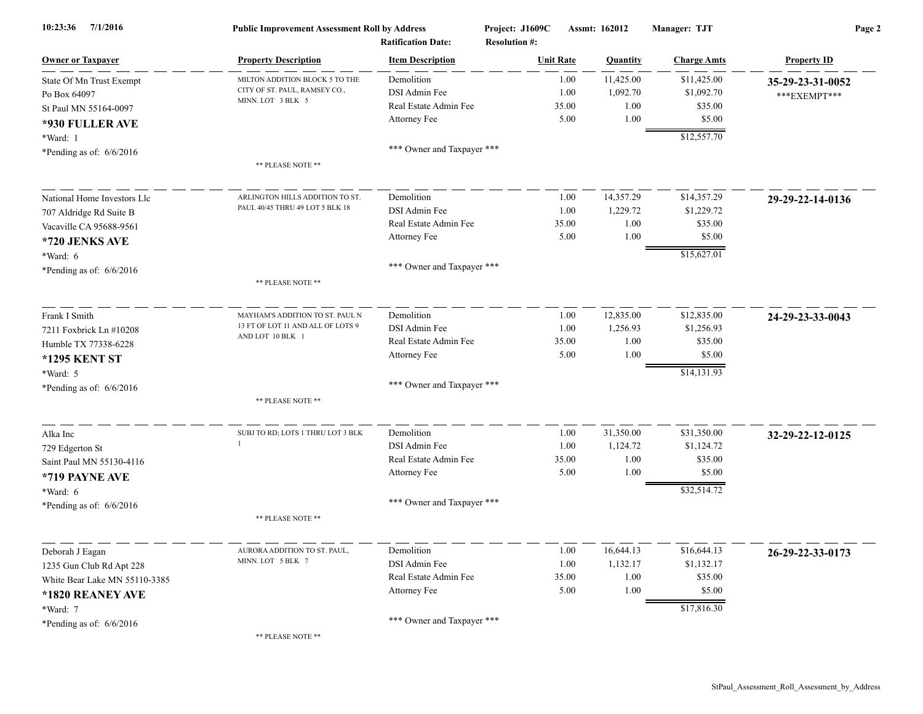| 7/1/2016<br>10:23:36          | <b>Public Improvement Assessment Roll by Address</b><br><b>Ratification Date:</b> |                            | Project: J1609C<br>Assmt: 162012<br><b>Resolution #:</b> |                  | Manager: TJT | Page 2             |                    |
|-------------------------------|-----------------------------------------------------------------------------------|----------------------------|----------------------------------------------------------|------------------|--------------|--------------------|--------------------|
| <b>Owner or Taxpayer</b>      | <b>Property Description</b>                                                       | <b>Item Description</b>    |                                                          | <b>Unit Rate</b> | Quantity     | <b>Charge Amts</b> | <b>Property ID</b> |
| State Of Mn Trust Exempt      | MILTON ADDITION BLOCK 5 TO THE                                                    | Demolition                 |                                                          | 1.00             | 11,425.00    | \$11,425.00        | 35-29-23-31-0052   |
| Po Box 64097                  | CITY OF ST. PAUL, RAMSEY CO.,                                                     | DSI Admin Fee              |                                                          | 1.00             | 1,092.70     | \$1,092.70         | ***EXEMPT***       |
| St Paul MN 55164-0097         | MINN. LOT 3 BLK 5                                                                 | Real Estate Admin Fee      |                                                          | 35.00            | 1.00         | \$35.00            |                    |
| *930 FULLER AVE               |                                                                                   | Attorney Fee               |                                                          | 5.00             | 1.00         | \$5.00             |                    |
| *Ward: 1                      |                                                                                   |                            |                                                          |                  |              | \$12,557.70        |                    |
| *Pending as of: $6/6/2016$    |                                                                                   | *** Owner and Taxpayer *** |                                                          |                  |              |                    |                    |
|                               | ** PLEASE NOTE **                                                                 |                            |                                                          |                  |              |                    |                    |
| National Home Investors Llc   | ARLINGTON HILLS ADDITION TO ST.                                                   | Demolition                 |                                                          | 1.00             | 14,357.29    | \$14,357.29        | 29-29-22-14-0136   |
| 707 Aldridge Rd Suite B       | PAUL 40/45 THRU 49 LOT 5 BLK 18                                                   | DSI Admin Fee              |                                                          | 1.00             | 1,229.72     | \$1,229.72         |                    |
| Vacaville CA 95688-9561       |                                                                                   | Real Estate Admin Fee      |                                                          | 35.00            | 1.00         | \$35.00            |                    |
| *720 JENKS AVE                |                                                                                   | Attorney Fee               |                                                          | 5.00             | 1.00         | \$5.00             |                    |
| *Ward: 6                      |                                                                                   |                            |                                                          |                  |              | \$15,627.01        |                    |
| *Pending as of: $6/6/2016$    |                                                                                   | *** Owner and Taxpayer *** |                                                          |                  |              |                    |                    |
|                               | ** PLEASE NOTE **                                                                 |                            |                                                          |                  |              |                    |                    |
| Frank I Smith                 | MAYHAM'S ADDITION TO ST. PAUL N                                                   | Demolition                 |                                                          | 1.00             | 12,835.00    | \$12,835.00        | 24-29-23-33-0043   |
| 7211 Foxbrick Ln #10208       | 13 FT OF LOT 11 AND ALL OF LOTS 9<br>AND LOT 10 BLK 1                             | DSI Admin Fee              |                                                          | 1.00             | 1,256.93     | \$1,256.93         |                    |
| Humble TX 77338-6228          |                                                                                   | Real Estate Admin Fee      |                                                          | 35.00            | 1.00         | \$35.00            |                    |
| *1295 KENT ST                 |                                                                                   | Attorney Fee               |                                                          | 5.00             | 1.00         | \$5.00             |                    |
| *Ward: 5                      |                                                                                   |                            |                                                          |                  |              | \$14,131.93        |                    |
| *Pending as of: $6/6/2016$    |                                                                                   | *** Owner and Taxpayer *** |                                                          |                  |              |                    |                    |
|                               | ** PLEASE NOTE **                                                                 |                            |                                                          |                  |              |                    |                    |
| Alka Inc                      | SUBJ TO RD; LOTS 1 THRU LOT 3 BLK                                                 | Demolition                 |                                                          | 1.00             | 31,350.00    | \$31,350.00        | 32-29-22-12-0125   |
| 729 Edgerton St               |                                                                                   | DSI Admin Fee              |                                                          | 1.00             | 1,124.72     | \$1,124.72         |                    |
| Saint Paul MN 55130-4116      |                                                                                   | Real Estate Admin Fee      |                                                          | 35.00            | 1.00         | \$35.00            |                    |
| *719 PAYNE AVE                |                                                                                   | Attorney Fee               |                                                          | 5.00             | 1.00         | \$5.00             |                    |
| *Ward: 6                      |                                                                                   |                            |                                                          |                  |              | \$32,514.72        |                    |
| *Pending as of: $6/6/2016$    |                                                                                   | *** Owner and Taxpayer *** |                                                          |                  |              |                    |                    |
|                               | ** PLEASE NOTE **                                                                 |                            |                                                          |                  |              |                    |                    |
| Deborah J Eagan               | AURORA ADDITION TO ST. PAUL,                                                      | Demolition                 |                                                          | 1.00             | 16,644.13    | \$16,644.13        | 26-29-22-33-0173   |
| 1235 Gun Club Rd Apt 228      | MINN. LOT 5 BLK 7                                                                 | DSI Admin Fee              |                                                          | 1.00             | 1,132.17     | \$1,132.17         |                    |
| White Bear Lake MN 55110-3385 |                                                                                   | Real Estate Admin Fee      |                                                          | 35.00            | 1.00         | \$35.00            |                    |
| *1820 REANEY AVE              |                                                                                   | Attorney Fee               |                                                          | 5.00             | 1.00         | \$5.00             |                    |
| *Ward: 7                      |                                                                                   |                            |                                                          |                  |              | \$17,816.30        |                    |
| *Pending as of: $6/6/2016$    |                                                                                   | *** Owner and Taxpayer *** |                                                          |                  |              |                    |                    |
|                               | $\mathbf{B}$ be the $\mathbf{B}$ of $\mathbf{B}$ and $\mathbf{B}$                 |                            |                                                          |                  |              |                    |                    |

 $*$  PLEASE NOTE